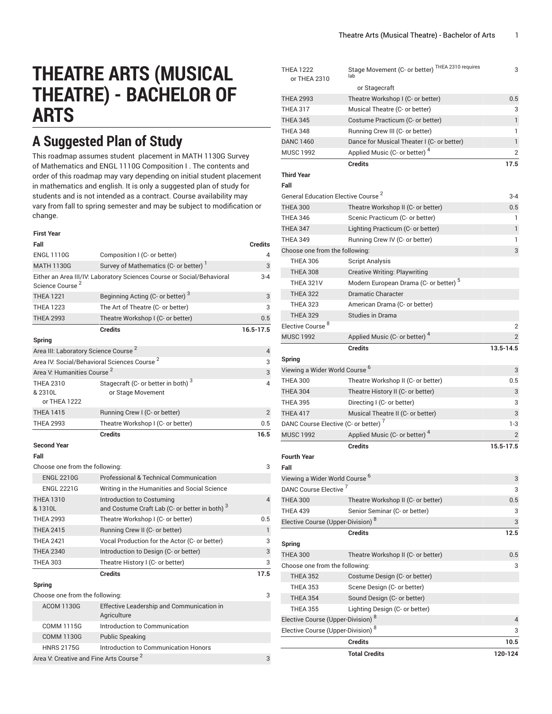# **THEATRE ARTS (MUSICAL THEATRE) - BACHELOR OF ARTS**

# **A Suggested Plan of Study**

This roadmap assumes student placement in MATH 1130G Survey of Mathematics and ENGL 1110G Composition I . The contents and order of this roadmap may vary depending on initial student placement in mathematics and english. It is only a suggested plan of study for students and is not intended as a contract. Course availability may vary from fall to spring semester and may be subject to modification or change.

| ۰.<br>× | . .<br>× |
|---------|----------|
|---------|----------|

| Fall                                               |                                                                                        | <b>Credits</b> |
|----------------------------------------------------|----------------------------------------------------------------------------------------|----------------|
| <b>ENGL 1110G</b>                                  | Composition I (C- or better)                                                           | 4              |
| <b>MATH 1130G</b>                                  | Survey of Mathematics (C- or better)                                                   | 3              |
| Science Course <sup>2</sup>                        | Either an Area III/IV: Laboratory Sciences Course or Social/Behavioral                 | $3 - 4$        |
| <b>THEA 1221</b>                                   | Beginning Acting (C- or better) <sup>3</sup>                                           | 3              |
| <b>THEA 1223</b>                                   | The Art of Theatre (C- or better)                                                      | 3              |
| <b>THEA 2993</b>                                   | Theatre Workshop I (C- or better)                                                      | 0.5            |
|                                                    | <b>Credits</b>                                                                         | 16.5-17.5      |
| Spring                                             |                                                                                        |                |
| Area III: Laboratory Science Course <sup>2</sup>   |                                                                                        | $\overline{4}$ |
|                                                    | Area IV: Social/Behavioral Sciences Course <sup>2</sup>                                | 3              |
| Area V: Humanities Course <sup>2</sup>             |                                                                                        | 3              |
| <b>THEA 2310</b><br>& 2310L<br>or THEA 1222        | Stagecraft (C- or better in both) <sup>3</sup><br>or Stage Movement                    | 4              |
| <b>THEA 1415</b>                                   | Running Crew I (C- or better)                                                          | $\overline{2}$ |
| <b>THEA 2993</b>                                   | Theatre Workshop I (C- or better)                                                      | 0.5            |
|                                                    | <b>Credits</b>                                                                         | 16.5           |
| <b>Second Year</b>                                 |                                                                                        |                |
| Fall                                               |                                                                                        |                |
| Choose one from the following:                     |                                                                                        | 3              |
| <b>ENGL 2210G</b>                                  | Professional & Technical Communication                                                 |                |
| <b>ENGL 2221G</b>                                  | Writing in the Humanities and Social Science                                           |                |
| <b>THEA 1310</b><br>& 1310L                        | Introduction to Costuming<br>and Costume Craft Lab (C- or better in both) <sup>3</sup> | 4              |
| <b>THEA 2993</b>                                   | Theatre Workshop I (C- or better)                                                      | 0.5            |
| <b>THEA 2415</b>                                   | Running Crew II (C- or better)                                                         | $\mathbf{1}$   |
| <b>THEA 2421</b>                                   | Vocal Production for the Actor (C- or better)                                          | 3              |
| <b>THEA 2340</b>                                   | Introduction to Design (C- or better)                                                  | 3              |
| <b>THEA 303</b>                                    | Theatre History I (C- or better)                                                       | 3              |
|                                                    | <b>Credits</b>                                                                         | 17.5           |
| Spring                                             |                                                                                        |                |
| Choose one from the following:                     |                                                                                        | 3              |
| <b>ACOM 1130G</b>                                  | Effective Leadership and Communication in<br>Agriculture                               |                |
| <b>COMM 1115G</b>                                  | Introduction to Communication                                                          |                |
| <b>COMM 1130G</b>                                  | <b>Public Speaking</b>                                                                 |                |
| <b>HNRS 2175G</b>                                  | Introduction to Communication Honors                                                   |                |
| Area V: Creative and Fine Arts Course <sup>2</sup> |                                                                                        | 3              |

| <b>THEA 1222</b><br>or THEA 2310                 | Stage Movement (C- or better) THEA 2310 requires<br>lab | 3              |
|--------------------------------------------------|---------------------------------------------------------|----------------|
|                                                  | or Stagecraft                                           |                |
| <b>THEA 2993</b>                                 | Theatre Workshop I (C- or better)                       | 0.5            |
| <b>THEA 317</b>                                  | Musical Theatre (C- or better)                          | 3              |
| <b>THEA 345</b>                                  | Costume Practicum (C- or better)                        | 1              |
| <b>THEA 348</b>                                  | Running Crew III (C- or better)                         | 1              |
| <b>DANC 1460</b>                                 | Dance for Musical Theater I (C- or better)              | 1              |
| <b>MUSC 1992</b>                                 | Applied Music (C- or better) <sup>4</sup>               | $\overline{2}$ |
|                                                  | <b>Credits</b>                                          | 17.5           |
| <b>Third Year</b><br>Fall                        |                                                         |                |
| General Education Elective Course <sup>2</sup>   |                                                         | $3 - 4$        |
| <b>THEA 300</b>                                  | Theatre Workshop II (C- or better)                      | 0.5            |
| <b>THEA 346</b>                                  | Scenic Practicum (C- or better)                         | 1              |
| <b>THEA 347</b>                                  | Lighting Practicum (C- or better)                       | 1              |
| <b>THEA 349</b>                                  | Running Crew IV (C- or better)                          | 1              |
| Choose one from the following:                   |                                                         | 3              |
| <b>THEA 306</b>                                  | <b>Script Analysis</b>                                  |                |
| <b>THEA 308</b>                                  | <b>Creative Writing: Playwriting</b>                    |                |
| THEA 321V                                        | Modern European Drama (C- or better) <sup>5</sup>       |                |
| <b>THEA 322</b>                                  | <b>Dramatic Character</b>                               |                |
| <b>THEA 323</b>                                  | American Drama (C- or better)                           |                |
| <b>THEA 329</b>                                  | <b>Studies in Drama</b>                                 |                |
| Elective Course <sup>8</sup>                     |                                                         | $\overline{2}$ |
| <b>MUSC 1992</b>                                 | Applied Music (C- or better) <sup>4</sup>               | $\overline{2}$ |
|                                                  | <b>Credits</b>                                          | 13.5-14.5      |
| Spring                                           |                                                         |                |
| Viewing a Wider World Course <sup>6</sup>        |                                                         | 3              |
| <b>THEA 300</b>                                  | Theatre Workshop II (C- or better)                      | 0.5            |
| <b>THEA 304</b>                                  | Theatre History II (C- or better)                       | 3              |
| <b>THEA 395</b>                                  | Directing I (C- or better)                              | 3              |
| <b>THEA 417</b>                                  | Musical Theatre II (C- or better)                       | 3              |
| DANC Course Elective (C- or better) <sup>7</sup> |                                                         | $1-3$          |
| <b>MUSC 1992</b>                                 | Applied Music (C- or better) <sup>4</sup>               | $\overline{2}$ |
|                                                  | <b>Credits</b>                                          | 15.5-17.5      |
| <b>Fourth Year</b>                               |                                                         |                |
| Fall                                             |                                                         |                |
| Viewing a Wider World Course <sup>b</sup>        |                                                         | 3              |
| DANC Course Elective <sup>7</sup>                |                                                         | 3              |
| <b>THEA 300</b>                                  | Theatre Workshop II (C- or better)                      | 0.5            |
| <b>THEA 439</b>                                  | Senior Seminar (C- or better)                           | 3              |
| Elective Course (Upper-Division) <sup>8</sup>    |                                                         | 3              |
|                                                  | <b>Credits</b>                                          | 12.5           |
| Spring                                           |                                                         |                |
| <b>THEA 300</b>                                  | Theatre Workshop II (C- or better)                      | 0.5            |
| Choose one from the following:                   |                                                         | 3              |
| <b>THEA 352</b>                                  | Costume Design (C- or better)                           |                |
| <b>THEA 353</b>                                  |                                                         |                |
|                                                  | Scene Design (C- or better)                             |                |
| <b>THEA 354</b>                                  | Sound Design (C- or better)                             |                |
| <b>THEA 355</b>                                  | Lighting Design (C- or better)                          |                |
| Elective Course (Upper-Division) <sup>8</sup>    |                                                         | 4              |
| Elective Course (Upper-Division) <sup>8</sup>    |                                                         | 3              |
|                                                  | <b>Credits</b>                                          | 10.5           |